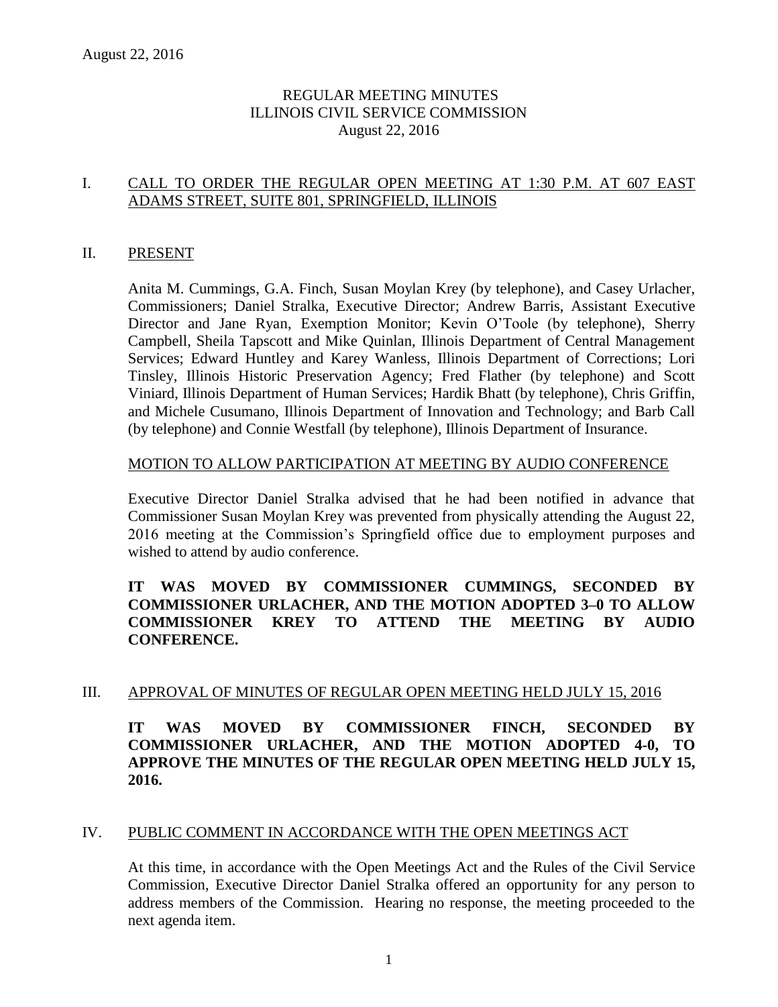# REGULAR MEETING MINUTES ILLINOIS CIVIL SERVICE COMMISSION August 22, 2016

# I. CALL TO ORDER THE REGULAR OPEN MEETING AT 1:30 P.M. AT 607 EAST ADAMS STREET, SUITE 801, SPRINGFIELD, ILLINOIS

#### II. PRESENT

Anita M. Cummings, G.A. Finch, Susan Moylan Krey (by telephone), and Casey Urlacher, Commissioners; Daniel Stralka, Executive Director; Andrew Barris, Assistant Executive Director and Jane Ryan, Exemption Monitor; Kevin O'Toole (by telephone), Sherry Campbell, Sheila Tapscott and Mike Quinlan, Illinois Department of Central Management Services; Edward Huntley and Karey Wanless, Illinois Department of Corrections; Lori Tinsley, Illinois Historic Preservation Agency; Fred Flather (by telephone) and Scott Viniard, Illinois Department of Human Services; Hardik Bhatt (by telephone), Chris Griffin, and Michele Cusumano, Illinois Department of Innovation and Technology; and Barb Call (by telephone) and Connie Westfall (by telephone), Illinois Department of Insurance.

#### MOTION TO ALLOW PARTICIPATION AT MEETING BY AUDIO CONFERENCE

Executive Director Daniel Stralka advised that he had been notified in advance that Commissioner Susan Moylan Krey was prevented from physically attending the August 22, 2016 meeting at the Commission's Springfield office due to employment purposes and wished to attend by audio conference.

### **IT WAS MOVED BY COMMISSIONER CUMMINGS, SECONDED BY COMMISSIONER URLACHER, AND THE MOTION ADOPTED 3–0 TO ALLOW COMMISSIONER KREY TO ATTEND THE MEETING BY AUDIO CONFERENCE.**

#### III. APPROVAL OF MINUTES OF REGULAR OPEN MEETING HELD JULY 15, 2016

**IT WAS MOVED BY COMMISSIONER FINCH, SECONDED BY COMMISSIONER URLACHER, AND THE MOTION ADOPTED 4-0, TO APPROVE THE MINUTES OF THE REGULAR OPEN MEETING HELD JULY 15, 2016.**

#### IV. PUBLIC COMMENT IN ACCORDANCE WITH THE OPEN MEETINGS ACT

At this time, in accordance with the Open Meetings Act and the Rules of the Civil Service Commission, Executive Director Daniel Stralka offered an opportunity for any person to address members of the Commission. Hearing no response, the meeting proceeded to the next agenda item.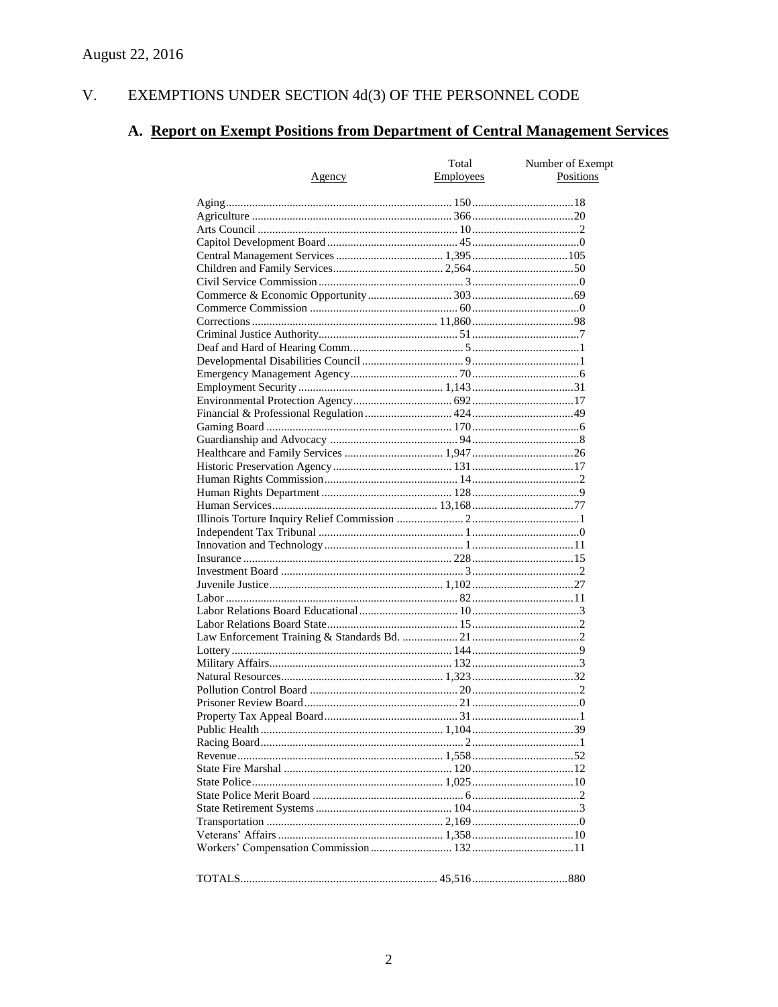#### $V<sub>1</sub>$ EXEMPTIONS UNDER SECTION  $4d(3)$  OF THE PERSONNEL CODE

# A. Report on Exempt Positions from Department of Central Management Services

| <u>Agency</u> | Total<br>Employees | Number of Exempt<br>Positions |
|---------------|--------------------|-------------------------------|
|               |                    |                               |
|               |                    |                               |
|               |                    |                               |
|               |                    |                               |
|               |                    |                               |
|               |                    |                               |
|               |                    |                               |
|               |                    |                               |
|               |                    |                               |
|               |                    |                               |
|               |                    |                               |
|               |                    |                               |
|               |                    |                               |
|               |                    |                               |
|               |                    |                               |
|               |                    |                               |
|               |                    |                               |
|               |                    |                               |
|               |                    |                               |
|               |                    |                               |
|               |                    |                               |
|               |                    |                               |
|               |                    |                               |
|               |                    |                               |
|               |                    |                               |
|               |                    |                               |
|               |                    |                               |
|               |                    |                               |
|               |                    |                               |
|               |                    |                               |
|               |                    |                               |
|               |                    |                               |
|               |                    |                               |
|               |                    |                               |
|               |                    |                               |
|               |                    |                               |
|               |                    |                               |
|               |                    |                               |
|               |                    |                               |
|               |                    |                               |
|               |                    |                               |
|               |                    |                               |
|               |                    |                               |
|               |                    |                               |
|               |                    |                               |
|               |                    |                               |
|               |                    |                               |
|               |                    |                               |
|               |                    |                               |
|               |                    |                               |
|               |                    |                               |
|               |                    |                               |
|               |                    |                               |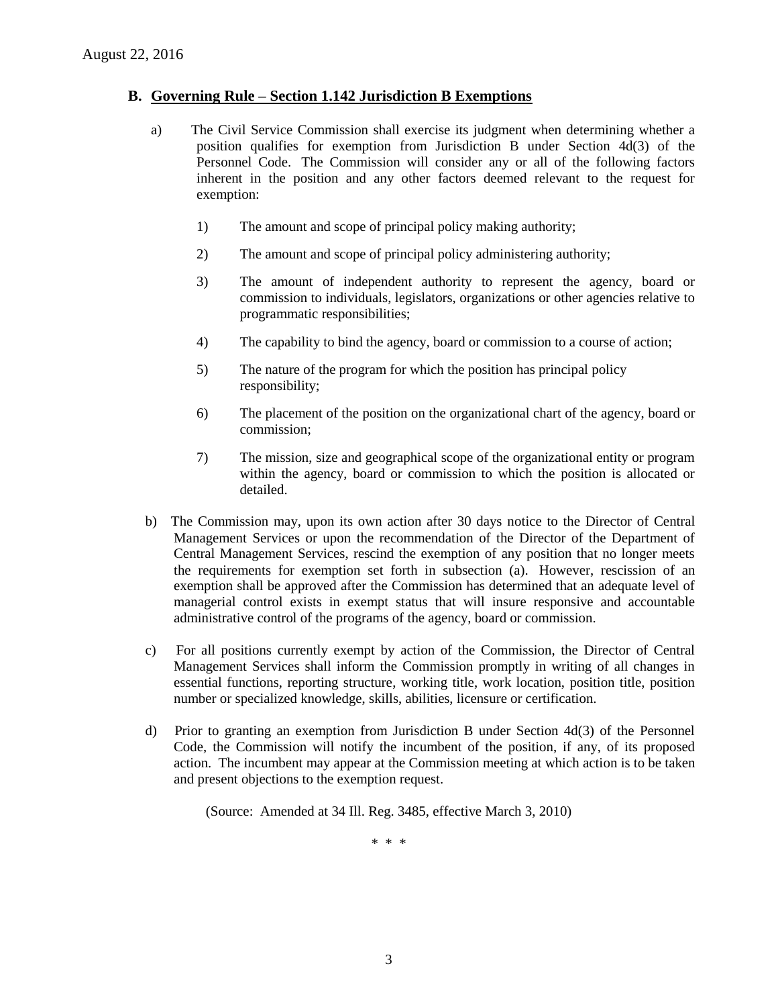#### **B. Governing Rule – Section 1.142 Jurisdiction B Exemptions**

- a) The Civil Service Commission shall exercise its judgment when determining whether a position qualifies for exemption from Jurisdiction B under Section 4d(3) of the Personnel Code. The Commission will consider any or all of the following factors inherent in the position and any other factors deemed relevant to the request for exemption:
	- 1) The amount and scope of principal policy making authority;
	- 2) The amount and scope of principal policy administering authority;
	- 3) The amount of independent authority to represent the agency, board or commission to individuals, legislators, organizations or other agencies relative to programmatic responsibilities;
	- 4) The capability to bind the agency, board or commission to a course of action;
	- 5) The nature of the program for which the position has principal policy responsibility;
	- 6) The placement of the position on the organizational chart of the agency, board or commission;
	- 7) The mission, size and geographical scope of the organizational entity or program within the agency, board or commission to which the position is allocated or detailed.
- b) The Commission may, upon its own action after 30 days notice to the Director of Central Management Services or upon the recommendation of the Director of the Department of Central Management Services, rescind the exemption of any position that no longer meets the requirements for exemption set forth in subsection (a). However, rescission of an exemption shall be approved after the Commission has determined that an adequate level of managerial control exists in exempt status that will insure responsive and accountable administrative control of the programs of the agency, board or commission.
- c) For all positions currently exempt by action of the Commission, the Director of Central Management Services shall inform the Commission promptly in writing of all changes in essential functions, reporting structure, working title, work location, position title, position number or specialized knowledge, skills, abilities, licensure or certification.
- d) Prior to granting an exemption from Jurisdiction B under Section 4d(3) of the Personnel Code, the Commission will notify the incumbent of the position, if any, of its proposed action. The incumbent may appear at the Commission meeting at which action is to be taken and present objections to the exemption request.

(Source: Amended at 34 Ill. Reg. 3485, effective March 3, 2010)

\* \* \*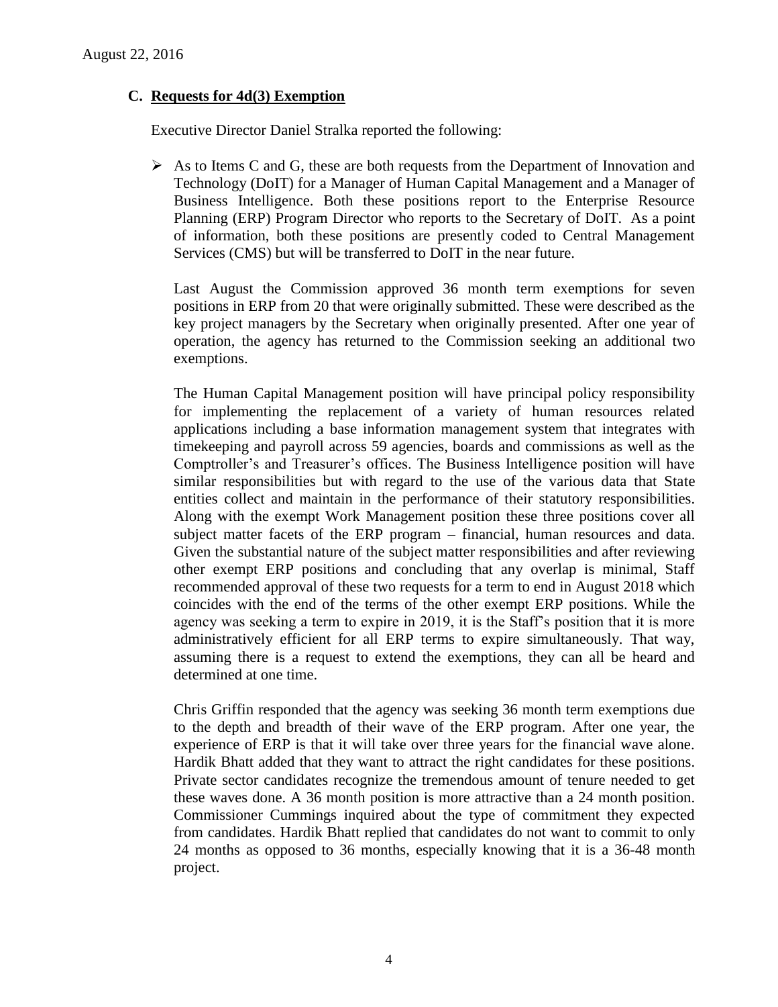### **C. Requests for 4d(3) Exemption**

Executive Director Daniel Stralka reported the following:

 $\triangleright$  As to Items C and G, these are both requests from the Department of Innovation and Technology (DoIT) for a Manager of Human Capital Management and a Manager of Business Intelligence. Both these positions report to the Enterprise Resource Planning (ERP) Program Director who reports to the Secretary of DoIT. As a point of information, both these positions are presently coded to Central Management Services (CMS) but will be transferred to DoIT in the near future.

Last August the Commission approved 36 month term exemptions for seven positions in ERP from 20 that were originally submitted. These were described as the key project managers by the Secretary when originally presented. After one year of operation, the agency has returned to the Commission seeking an additional two exemptions.

The Human Capital Management position will have principal policy responsibility for implementing the replacement of a variety of human resources related applications including a base information management system that integrates with timekeeping and payroll across 59 agencies, boards and commissions as well as the Comptroller's and Treasurer's offices. The Business Intelligence position will have similar responsibilities but with regard to the use of the various data that State entities collect and maintain in the performance of their statutory responsibilities. Along with the exempt Work Management position these three positions cover all subject matter facets of the ERP program – financial, human resources and data. Given the substantial nature of the subject matter responsibilities and after reviewing other exempt ERP positions and concluding that any overlap is minimal, Staff recommended approval of these two requests for a term to end in August 2018 which coincides with the end of the terms of the other exempt ERP positions. While the agency was seeking a term to expire in 2019, it is the Staff's position that it is more administratively efficient for all ERP terms to expire simultaneously. That way, assuming there is a request to extend the exemptions, they can all be heard and determined at one time.

Chris Griffin responded that the agency was seeking 36 month term exemptions due to the depth and breadth of their wave of the ERP program. After one year, the experience of ERP is that it will take over three years for the financial wave alone. Hardik Bhatt added that they want to attract the right candidates for these positions. Private sector candidates recognize the tremendous amount of tenure needed to get these waves done. A 36 month position is more attractive than a 24 month position. Commissioner Cummings inquired about the type of commitment they expected from candidates. Hardik Bhatt replied that candidates do not want to commit to only 24 months as opposed to 36 months, especially knowing that it is a 36-48 month project.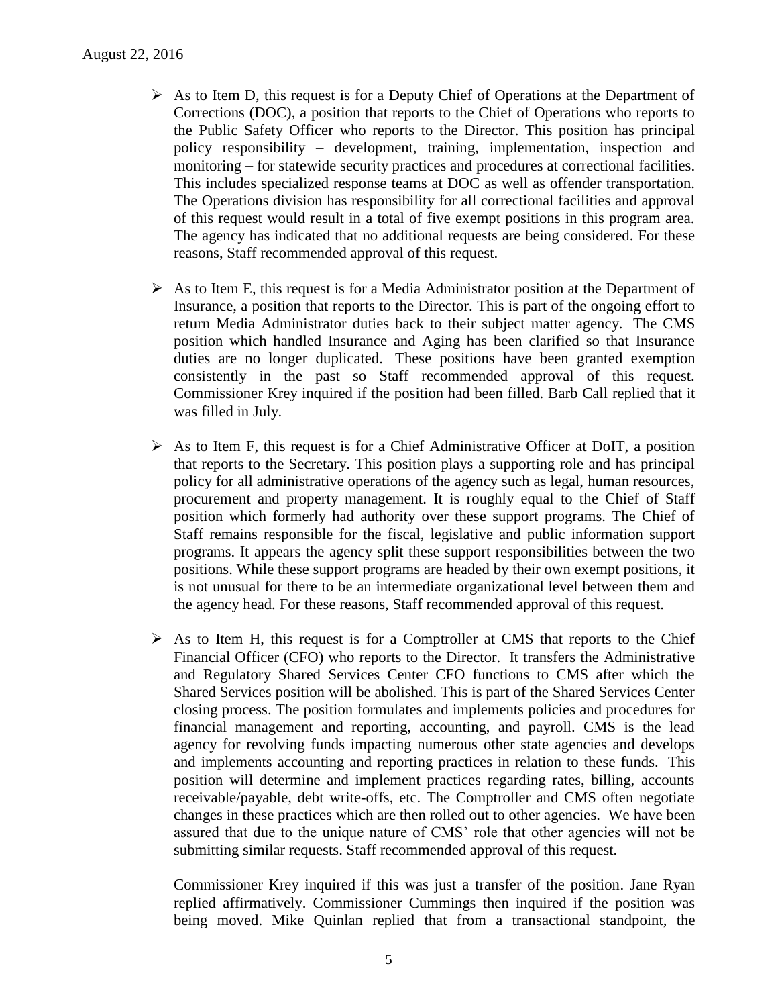- $\triangleright$  As to Item D, this request is for a Deputy Chief of Operations at the Department of Corrections (DOC), a position that reports to the Chief of Operations who reports to the Public Safety Officer who reports to the Director. This position has principal policy responsibility – development, training, implementation, inspection and monitoring – for statewide security practices and procedures at correctional facilities. This includes specialized response teams at DOC as well as offender transportation. The Operations division has responsibility for all correctional facilities and approval of this request would result in a total of five exempt positions in this program area. The agency has indicated that no additional requests are being considered. For these reasons, Staff recommended approval of this request.
- $\triangleright$  As to Item E, this request is for a Media Administrator position at the Department of Insurance, a position that reports to the Director. This is part of the ongoing effort to return Media Administrator duties back to their subject matter agency. The CMS position which handled Insurance and Aging has been clarified so that Insurance duties are no longer duplicated. These positions have been granted exemption consistently in the past so Staff recommended approval of this request. Commissioner Krey inquired if the position had been filled. Barb Call replied that it was filled in July.
- $\triangleright$  As to Item F, this request is for a Chief Administrative Officer at DoIT, a position that reports to the Secretary. This position plays a supporting role and has principal policy for all administrative operations of the agency such as legal, human resources, procurement and property management. It is roughly equal to the Chief of Staff position which formerly had authority over these support programs. The Chief of Staff remains responsible for the fiscal, legislative and public information support programs. It appears the agency split these support responsibilities between the two positions. While these support programs are headed by their own exempt positions, it is not unusual for there to be an intermediate organizational level between them and the agency head. For these reasons, Staff recommended approval of this request.
- $\triangleright$  As to Item H, this request is for a Comptroller at CMS that reports to the Chief Financial Officer (CFO) who reports to the Director. It transfers the Administrative and Regulatory Shared Services Center CFO functions to CMS after which the Shared Services position will be abolished. This is part of the Shared Services Center closing process. The position formulates and implements policies and procedures for financial management and reporting, accounting, and payroll. CMS is the lead agency for revolving funds impacting numerous other state agencies and develops and implements accounting and reporting practices in relation to these funds. This position will determine and implement practices regarding rates, billing, accounts receivable/payable, debt write-offs, etc. The Comptroller and CMS often negotiate changes in these practices which are then rolled out to other agencies. We have been assured that due to the unique nature of CMS' role that other agencies will not be submitting similar requests. Staff recommended approval of this request.

Commissioner Krey inquired if this was just a transfer of the position. Jane Ryan replied affirmatively. Commissioner Cummings then inquired if the position was being moved. Mike Quinlan replied that from a transactional standpoint, the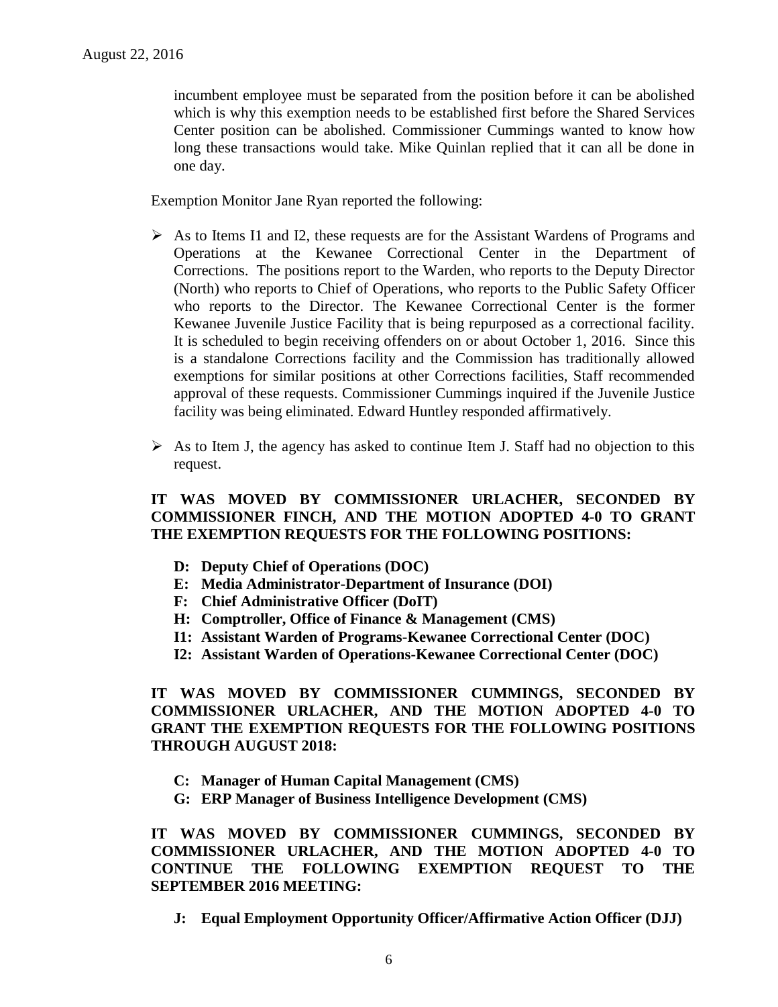incumbent employee must be separated from the position before it can be abolished which is why this exemption needs to be established first before the Shared Services Center position can be abolished. Commissioner Cummings wanted to know how long these transactions would take. Mike Quinlan replied that it can all be done in one day.

Exemption Monitor Jane Ryan reported the following:

- $\triangleright$  As to Items I1 and I2, these requests are for the Assistant Wardens of Programs and Operations at the Kewanee Correctional Center in the Department of Corrections. The positions report to the Warden, who reports to the Deputy Director (North) who reports to Chief of Operations, who reports to the Public Safety Officer who reports to the Director. The Kewanee Correctional Center is the former Kewanee Juvenile Justice Facility that is being repurposed as a correctional facility. It is scheduled to begin receiving offenders on or about October 1, 2016. Since this is a standalone Corrections facility and the Commission has traditionally allowed exemptions for similar positions at other Corrections facilities, Staff recommended approval of these requests. Commissioner Cummings inquired if the Juvenile Justice facility was being eliminated. Edward Huntley responded affirmatively.
- $\triangleright$  As to Item J, the agency has asked to continue Item J. Staff had no objection to this request.

# **IT WAS MOVED BY COMMISSIONER URLACHER, SECONDED BY COMMISSIONER FINCH, AND THE MOTION ADOPTED 4-0 TO GRANT THE EXEMPTION REQUESTS FOR THE FOLLOWING POSITIONS:**

- **D: Deputy Chief of Operations (DOC)**
- **E: Media Administrator-Department of Insurance (DOI)**
- **F: Chief Administrative Officer (DoIT)**
- **H: Comptroller, Office of Finance & Management (CMS)**
- **I1: Assistant Warden of Programs-Kewanee Correctional Center (DOC)**
- **I2: Assistant Warden of Operations-Kewanee Correctional Center (DOC)**

**IT WAS MOVED BY COMMISSIONER CUMMINGS, SECONDED BY COMMISSIONER URLACHER, AND THE MOTION ADOPTED 4-0 TO GRANT THE EXEMPTION REQUESTS FOR THE FOLLOWING POSITIONS THROUGH AUGUST 2018:**

- **C: Manager of Human Capital Management (CMS)**
- **G: ERP Manager of Business Intelligence Development (CMS)**

**IT WAS MOVED BY COMMISSIONER CUMMINGS, SECONDED BY COMMISSIONER URLACHER, AND THE MOTION ADOPTED 4-0 TO CONTINUE THE FOLLOWING EXEMPTION REQUEST TO THE SEPTEMBER 2016 MEETING:**

**J: Equal Employment Opportunity Officer/Affirmative Action Officer (DJJ)**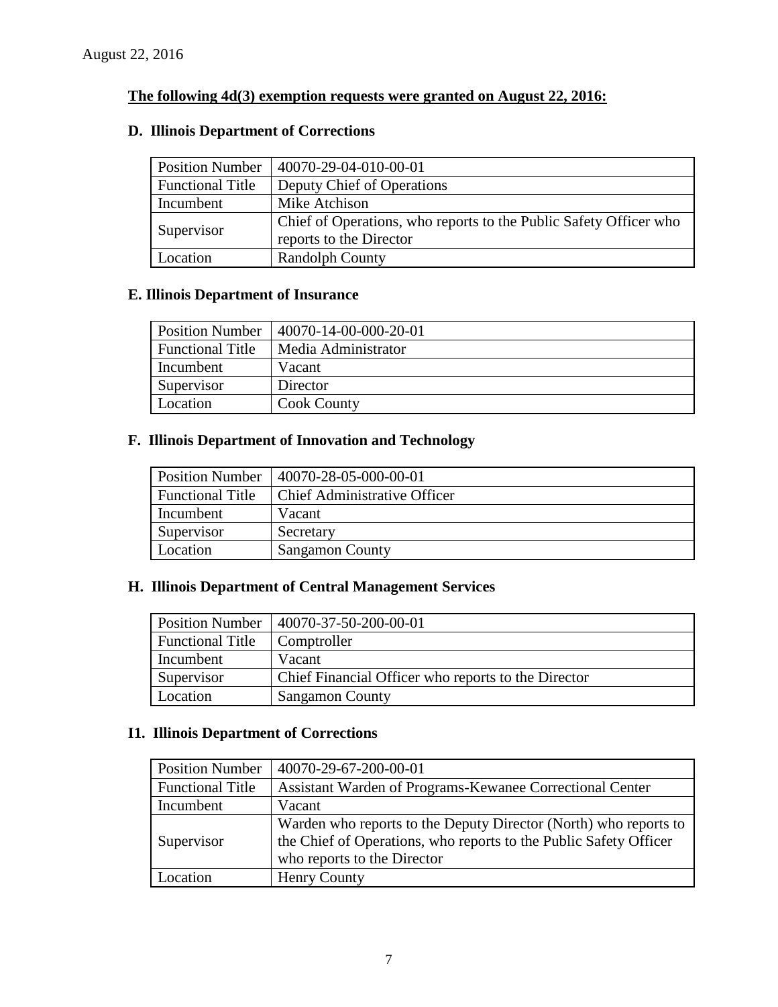# **The following 4d(3) exemption requests were granted on August 22, 2016:**

# **D. Illinois Department of Corrections**

| <b>Position Number</b>  | 40070-29-04-010-00-01                                                                        |  |
|-------------------------|----------------------------------------------------------------------------------------------|--|
| <b>Functional Title</b> | Deputy Chief of Operations                                                                   |  |
| Incumbent               | Mike Atchison                                                                                |  |
| Supervisor              | Chief of Operations, who reports to the Public Safety Officer who<br>reports to the Director |  |
| Location                | <b>Randolph County</b>                                                                       |  |

# **E. Illinois Department of Insurance**

| <b>Position Number</b>  | 40070-14-00-000-20-01 |  |
|-------------------------|-----------------------|--|
| <b>Functional Title</b> | Media Administrator   |  |
| Incumbent               | Vacant                |  |
| Supervisor              | Director              |  |
| Location                | <b>Cook County</b>    |  |

# **F. Illinois Department of Innovation and Technology**

| <b>Position Number</b>  | 40070-28-05-000-00-01               |  |
|-------------------------|-------------------------------------|--|
| <b>Functional Title</b> | <b>Chief Administrative Officer</b> |  |
| Incumbent               | Vacant                              |  |
| Supervisor              | Secretary                           |  |
| Location                | <b>Sangamon County</b>              |  |

# **H. Illinois Department of Central Management Services**

| <b>Position Number</b>  | 40070-37-50-200-00-01                               |  |
|-------------------------|-----------------------------------------------------|--|
| <b>Functional Title</b> | Comptroller                                         |  |
| Incumbent               | Vacant                                              |  |
| Supervisor              | Chief Financial Officer who reports to the Director |  |
| Location                | <b>Sangamon County</b>                              |  |

# **I1. Illinois Department of Corrections**

| <b>Position Number</b>  | 40070-29-67-200-00-01                                                                                                                                                |  |
|-------------------------|----------------------------------------------------------------------------------------------------------------------------------------------------------------------|--|
| <b>Functional Title</b> | Assistant Warden of Programs-Kewanee Correctional Center                                                                                                             |  |
| Incumbent               | Vacant                                                                                                                                                               |  |
| Supervisor              | Warden who reports to the Deputy Director (North) who reports to<br>the Chief of Operations, who reports to the Public Safety Officer<br>who reports to the Director |  |
| Location                | Henry County                                                                                                                                                         |  |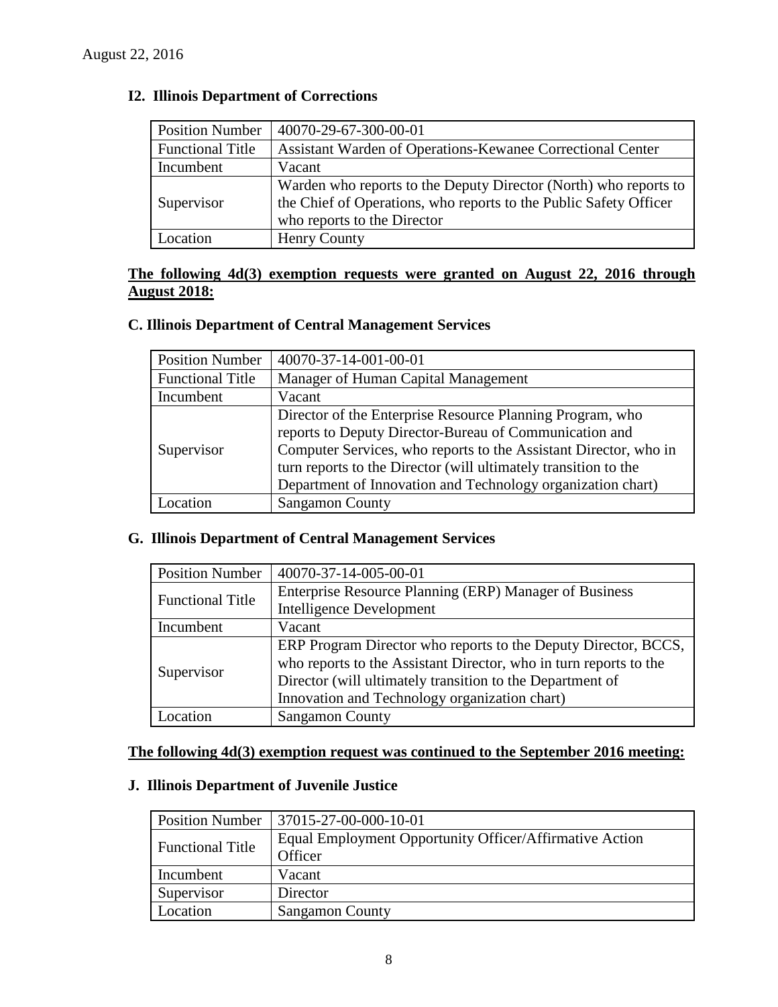| <b>Position Number</b>  | 40070-29-67-300-00-01                                                                                                                                                |  |
|-------------------------|----------------------------------------------------------------------------------------------------------------------------------------------------------------------|--|
| <b>Functional Title</b> | Assistant Warden of Operations-Kewanee Correctional Center                                                                                                           |  |
| Incumbent               | Vacant                                                                                                                                                               |  |
| Supervisor              | Warden who reports to the Deputy Director (North) who reports to<br>the Chief of Operations, who reports to the Public Safety Officer<br>who reports to the Director |  |
| ocation                 | Henry County                                                                                                                                                         |  |

# **I2. Illinois Department of Corrections**

# **The following 4d(3) exemption requests were granted on August 22, 2016 through August 2018:**

# **C. Illinois Department of Central Management Services**

| <b>Position Number</b>  | 40070-37-14-001-00-01                                            |  |
|-------------------------|------------------------------------------------------------------|--|
| <b>Functional Title</b> | Manager of Human Capital Management                              |  |
| Incumbent               | Vacant                                                           |  |
|                         | Director of the Enterprise Resource Planning Program, who        |  |
|                         | reports to Deputy Director-Bureau of Communication and           |  |
| Supervisor              | Computer Services, who reports to the Assistant Director, who in |  |
|                         | turn reports to the Director (will ultimately transition to the  |  |
|                         | Department of Innovation and Technology organization chart)      |  |
| ocation                 | <b>Sangamon County</b>                                           |  |

#### **G. Illinois Department of Central Management Services**

| <b>Position Number</b>  | 40070-37-14-005-00-01                                             |  |
|-------------------------|-------------------------------------------------------------------|--|
| <b>Functional Title</b> | Enterprise Resource Planning (ERP) Manager of Business            |  |
|                         | <b>Intelligence Development</b>                                   |  |
| Incumbent<br>Vacant     |                                                                   |  |
| Supervisor              | ERP Program Director who reports to the Deputy Director, BCCS,    |  |
|                         | who reports to the Assistant Director, who in turn reports to the |  |
|                         | Director (will ultimately transition to the Department of         |  |
|                         | Innovation and Technology organization chart)                     |  |
| ocation                 | <b>Sangamon County</b>                                            |  |

# **The following 4d(3) exemption request was continued to the September 2016 meeting:**

# **J. Illinois Department of Juvenile Justice**

|                         | Position Number   37015-27-00-000-10-01                 |  |
|-------------------------|---------------------------------------------------------|--|
| <b>Functional Title</b> | Equal Employment Opportunity Officer/Affirmative Action |  |
|                         | Officer                                                 |  |
| Incumbent               | Vacant                                                  |  |
| Supervisor              | Director                                                |  |
| Location                | <b>Sangamon County</b>                                  |  |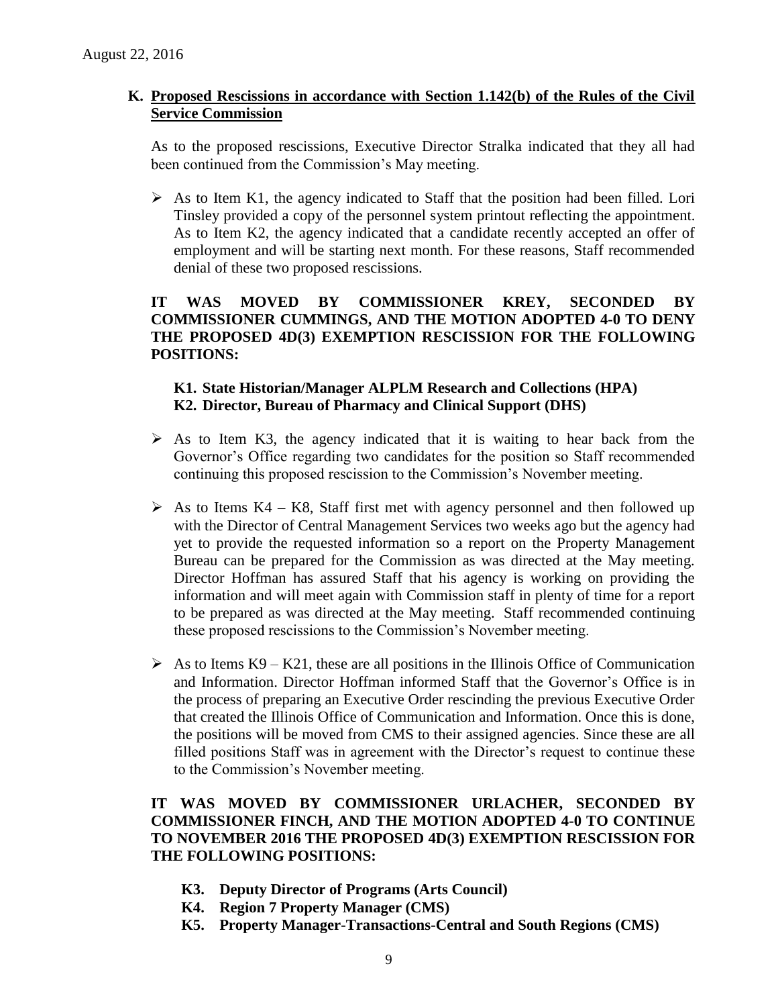### **K. Proposed Rescissions in accordance with Section 1.142(b) of the Rules of the Civil Service Commission**

As to the proposed rescissions, Executive Director Stralka indicated that they all had been continued from the Commission's May meeting.

 $\triangleright$  As to Item K1, the agency indicated to Staff that the position had been filled. Lori Tinsley provided a copy of the personnel system printout reflecting the appointment. As to Item K2, the agency indicated that a candidate recently accepted an offer of employment and will be starting next month. For these reasons, Staff recommended denial of these two proposed rescissions.

# **IT WAS MOVED BY COMMISSIONER KREY, SECONDED BY COMMISSIONER CUMMINGS, AND THE MOTION ADOPTED 4-0 TO DENY THE PROPOSED 4D(3) EXEMPTION RESCISSION FOR THE FOLLOWING POSITIONS:**

# **K1. State Historian/Manager ALPLM Research and Collections (HPA) K2. Director, Bureau of Pharmacy and Clinical Support (DHS)**

- $\triangleright$  As to Item K3, the agency indicated that it is waiting to hear back from the Governor's Office regarding two candidates for the position so Staff recommended continuing this proposed rescission to the Commission's November meeting.
- $\triangleright$  As to Items K4 K8, Staff first met with agency personnel and then followed up with the Director of Central Management Services two weeks ago but the agency had yet to provide the requested information so a report on the Property Management Bureau can be prepared for the Commission as was directed at the May meeting. Director Hoffman has assured Staff that his agency is working on providing the information and will meet again with Commission staff in plenty of time for a report to be prepared as was directed at the May meeting. Staff recommended continuing these proposed rescissions to the Commission's November meeting.
- $\triangleright$  As to Items K9 K21, these are all positions in the Illinois Office of Communication and Information. Director Hoffman informed Staff that the Governor's Office is in the process of preparing an Executive Order rescinding the previous Executive Order that created the Illinois Office of Communication and Information. Once this is done, the positions will be moved from CMS to their assigned agencies. Since these are all filled positions Staff was in agreement with the Director's request to continue these to the Commission's November meeting.

# **IT WAS MOVED BY COMMISSIONER URLACHER, SECONDED BY COMMISSIONER FINCH, AND THE MOTION ADOPTED 4-0 TO CONTINUE TO NOVEMBER 2016 THE PROPOSED 4D(3) EXEMPTION RESCISSION FOR THE FOLLOWING POSITIONS:**

- **K3. Deputy Director of Programs (Arts Council)**
- **K4. Region 7 Property Manager (CMS)**
- **K5. Property Manager-Transactions-Central and South Regions (CMS)**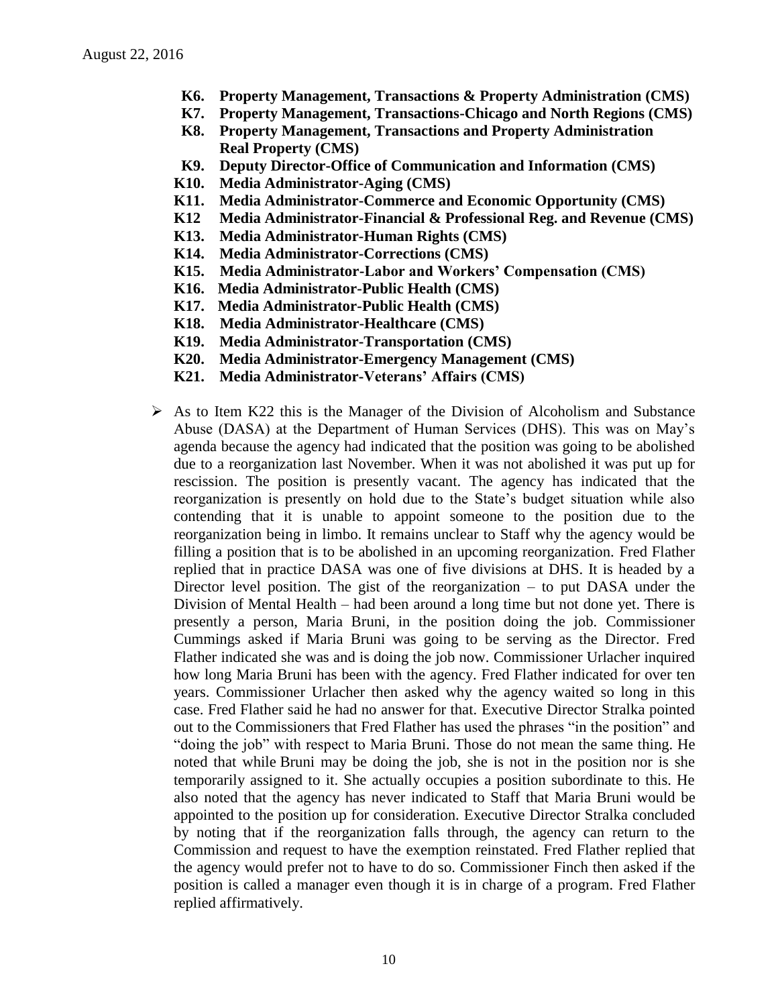- **K6. Property Management, Transactions & Property Administration (CMS)**
- **K7. Property Management, Transactions-Chicago and North Regions (CMS)**
- **K8. Property Management, Transactions and Property Administration Real Property (CMS)**
- **K9. Deputy Director-Office of Communication and Information (CMS)**
- **K10. Media Administrator-Aging (CMS)**
- **K11. Media Administrator-Commerce and Economic Opportunity (CMS)**
- **K12 Media Administrator-Financial & Professional Reg. and Revenue (CMS)**
- **K13. Media Administrator-Human Rights (CMS)**
- **K14. Media Administrator-Corrections (CMS)**
- **K15. Media Administrator-Labor and Workers' Compensation (CMS)**
- **K16. Media Administrator-Public Health (CMS)**
- **K17. Media Administrator-Public Health (CMS)**
- **K18. Media Administrator-Healthcare (CMS)**
- **K19. Media Administrator-Transportation (CMS)**
- **K20. Media Administrator-Emergency Management (CMS)**
- **K21. Media Administrator-Veterans' Affairs (CMS)**
- $\triangleright$  As to Item K22 this is the Manager of the Division of Alcoholism and Substance Abuse (DASA) at the Department of Human Services (DHS). This was on May's agenda because the agency had indicated that the position was going to be abolished due to a reorganization last November. When it was not abolished it was put up for rescission. The position is presently vacant. The agency has indicated that the reorganization is presently on hold due to the State's budget situation while also contending that it is unable to appoint someone to the position due to the reorganization being in limbo. It remains unclear to Staff why the agency would be filling a position that is to be abolished in an upcoming reorganization. Fred Flather replied that in practice DASA was one of five divisions at DHS. It is headed by a Director level position. The gist of the reorganization – to put DASA under the Division of Mental Health – had been around a long time but not done yet. There is presently a person, Maria Bruni, in the position doing the job. Commissioner Cummings asked if Maria Bruni was going to be serving as the Director. Fred Flather indicated she was and is doing the job now. Commissioner Urlacher inquired how long Maria Bruni has been with the agency. Fred Flather indicated for over ten years. Commissioner Urlacher then asked why the agency waited so long in this case. Fred Flather said he had no answer for that. Executive Director Stralka pointed out to the Commissioners that Fred Flather has used the phrases "in the position" and "doing the job" with respect to Maria Bruni. Those do not mean the same thing. He noted that while Bruni may be doing the job, she is not in the position nor is she temporarily assigned to it. She actually occupies a position subordinate to this. He also noted that the agency has never indicated to Staff that Maria Bruni would be appointed to the position up for consideration. Executive Director Stralka concluded by noting that if the reorganization falls through, the agency can return to the Commission and request to have the exemption reinstated. Fred Flather replied that the agency would prefer not to have to do so. Commissioner Finch then asked if the position is called a manager even though it is in charge of a program. Fred Flather replied affirmatively.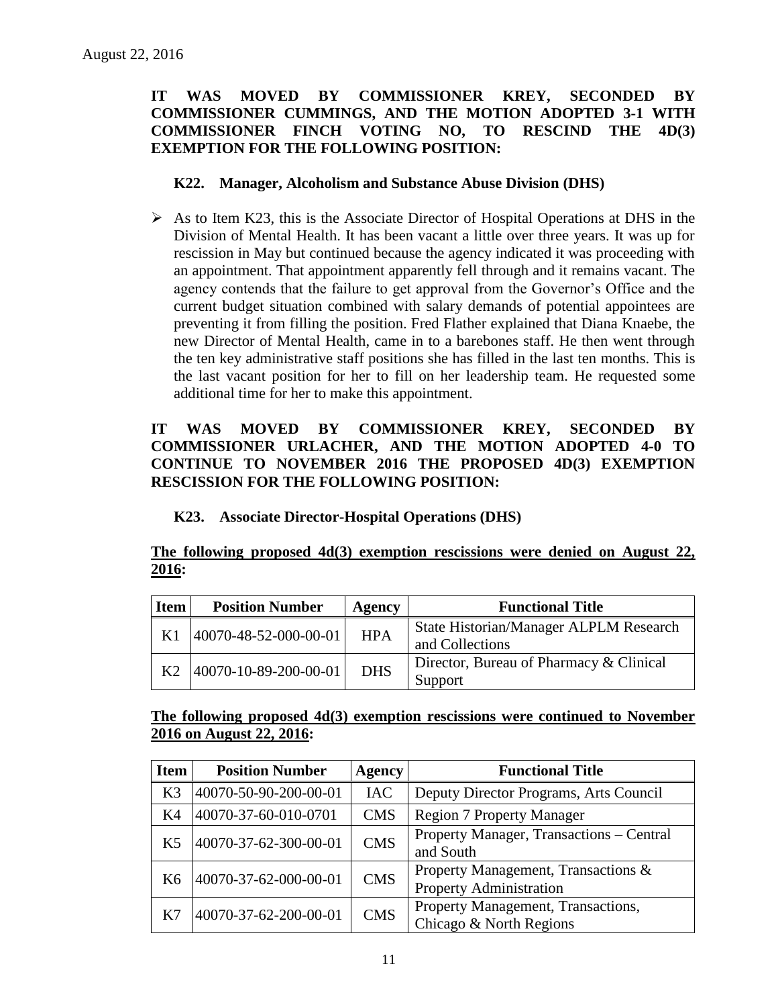# **IT WAS MOVED BY COMMISSIONER KREY, SECONDED BY COMMISSIONER CUMMINGS, AND THE MOTION ADOPTED 3-1 WITH COMMISSIONER FINCH VOTING NO, TO RESCIND THE 4D(3) EXEMPTION FOR THE FOLLOWING POSITION:**

#### **K22. Manager, Alcoholism and Substance Abuse Division (DHS)**

 $\triangleright$  As to Item K23, this is the Associate Director of Hospital Operations at DHS in the Division of Mental Health. It has been vacant a little over three years. It was up for rescission in May but continued because the agency indicated it was proceeding with an appointment. That appointment apparently fell through and it remains vacant. The agency contends that the failure to get approval from the Governor's Office and the current budget situation combined with salary demands of potential appointees are preventing it from filling the position. Fred Flather explained that Diana Knaebe, the new Director of Mental Health, came in to a barebones staff. He then went through the ten key administrative staff positions she has filled in the last ten months. This is the last vacant position for her to fill on her leadership team. He requested some additional time for her to make this appointment.

# **IT WAS MOVED BY COMMISSIONER KREY, SECONDED BY COMMISSIONER URLACHER, AND THE MOTION ADOPTED 4-0 TO CONTINUE TO NOVEMBER 2016 THE PROPOSED 4D(3) EXEMPTION RESCISSION FOR THE FOLLOWING POSITION:**

# **K23. Associate Director-Hospital Operations (DHS)**

### **The following proposed 4d(3) exemption rescissions were denied on August 22, 2016:**

| <b>Item</b> | <b>Position Number</b> | Agency     | <b>Functional Title</b>                                   |
|-------------|------------------------|------------|-----------------------------------------------------------|
| K1          | 40070-48-52-000-00-01  | <b>HPA</b> | State Historian/Manager ALPLM Research<br>and Collections |
|             | 40070-10-89-200-00-01  | <b>DHS</b> | Director, Bureau of Pharmacy & Clinical<br>Support        |

### **The following proposed 4d(3) exemption rescissions were continued to November 2016 on August 22, 2016:**

| <b>Item</b>    | <b>Position Number</b> | <b>Agency</b> | <b>Functional Title</b>                                               |
|----------------|------------------------|---------------|-----------------------------------------------------------------------|
| K <sub>3</sub> | 40070-50-90-200-00-01  | <b>IAC</b>    | Deputy Director Programs, Arts Council                                |
| K <sub>4</sub> | 40070-37-60-010-0701   | <b>CMS</b>    | <b>Region 7 Property Manager</b>                                      |
| K <sub>5</sub> | 40070-37-62-300-00-01  | <b>CMS</b>    | Property Manager, Transactions - Central<br>and South                 |
| K <sub>6</sub> | 40070-37-62-000-00-01  | <b>CMS</b>    | Property Management, Transactions &<br><b>Property Administration</b> |
| K7             | 40070-37-62-200-00-01  | <b>CMS</b>    | Property Management, Transactions,<br>Chicago & North Regions         |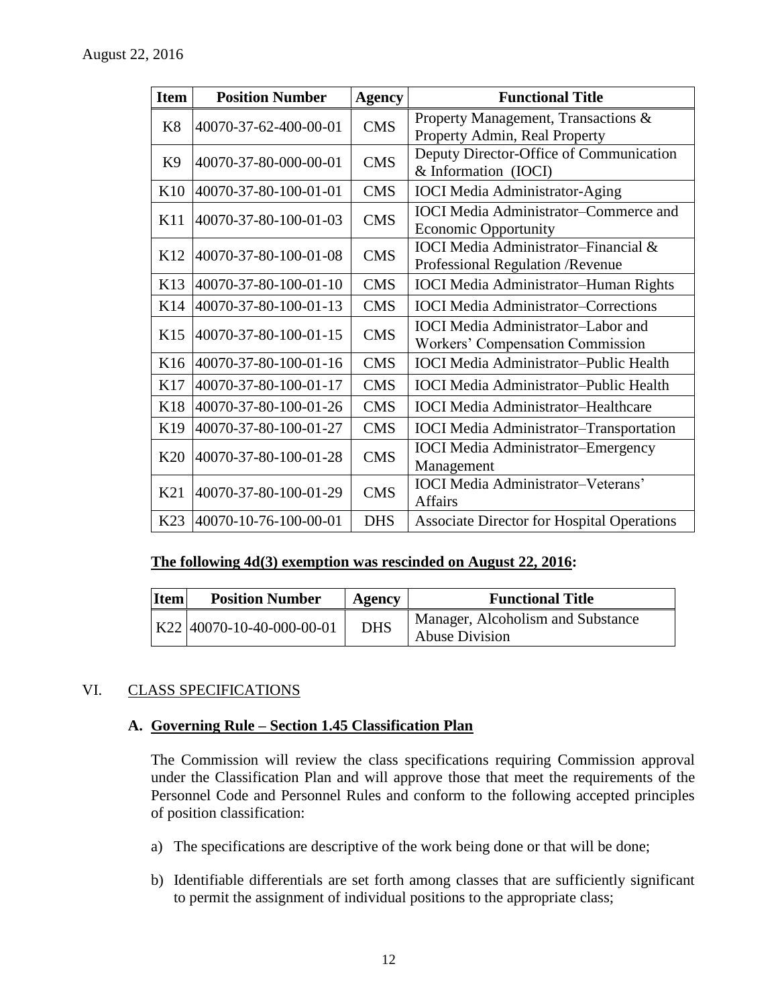| <b>Item</b>    | <b>Position Number</b>    | <b>Agency</b> | <b>Functional Title</b>                           |
|----------------|---------------------------|---------------|---------------------------------------------------|
| K8             | 40070-37-62-400-00-01     | <b>CMS</b>    | Property Management, Transactions &               |
|                |                           |               | Property Admin, Real Property                     |
| K <sub>9</sub> | 40070-37-80-000-00-01     | <b>CMS</b>    | Deputy Director-Office of Communication           |
|                |                           |               | & Information (IOCI)                              |
| K10            | 40070-37-80-100-01-01     | <b>CMS</b>    | <b>IOCI</b> Media Administrator-Aging             |
| K11            | 40070-37-80-100-01-03     | <b>CMS</b>    | <b>IOCI</b> Media Administrator-Commerce and      |
|                |                           |               | <b>Economic Opportunity</b>                       |
| K12            | 40070-37-80-100-01-08     | <b>CMS</b>    | <b>IOCI</b> Media Administrator-Financial &       |
|                |                           |               | Professional Regulation / Revenue                 |
| K13            | 40070-37-80-100-01-10     | <b>CMS</b>    | <b>IOCI</b> Media Administrator-Human Rights      |
| K14            | 40070-37-80-100-01-13     | <b>CMS</b>    | <b>IOCI</b> Media Administrator–Corrections       |
| K15            | 40070-37-80-100-01-15     | <b>CMS</b>    | <b>IOCI</b> Media Administrator–Labor and         |
|                |                           |               | Workers' Compensation Commission                  |
| K16            | 40070-37-80-100-01-16     | <b>CMS</b>    | <b>IOCI</b> Media Administrator-Public Health     |
| K17            | 40070-37-80-100-01-17     | <b>CMS</b>    | <b>IOCI</b> Media Administrator-Public Health     |
| <b>K18</b>     | 40070-37-80-100-01-26     | <b>CMS</b>    | <b>IOCI</b> Media Administrator-Healthcare        |
| K19            | 40070-37-80-100-01-27     | <b>CMS</b>    | <b>IOCI</b> Media Administrator-Transportation    |
| K20            | 40070-37-80-100-01-28     | <b>CMS</b>    | <b>IOCI</b> Media Administrator–Emergency         |
|                |                           |               | Management                                        |
| K21            | 40070-37-80-100-01-29     | <b>CMS</b>    | <b>IOCI</b> Media Administrator-Veterans'         |
|                |                           |               | <b>Affairs</b>                                    |
| K23            | $ 40070-10-76-100-00-01 $ | <b>DHS</b>    | <b>Associate Director for Hospital Operations</b> |

#### **The following 4d(3) exemption was rescinded on August 22, 2016:**

| <b>Item</b> | <b>Position Number</b>      | Agency     | <b>Functional Title</b>                                    |
|-------------|-----------------------------|------------|------------------------------------------------------------|
|             | $K22$ 40070-10-40-000-00-01 | <b>DHS</b> | Manager, Alcoholism and Substance<br><b>Abuse Division</b> |

# VI. CLASS SPECIFICATIONS

#### **A. Governing Rule – Section 1.45 Classification Plan**

The Commission will review the class specifications requiring Commission approval under the Classification Plan and will approve those that meet the requirements of the Personnel Code and Personnel Rules and conform to the following accepted principles of position classification:

- a) The specifications are descriptive of the work being done or that will be done;
- b) Identifiable differentials are set forth among classes that are sufficiently significant to permit the assignment of individual positions to the appropriate class;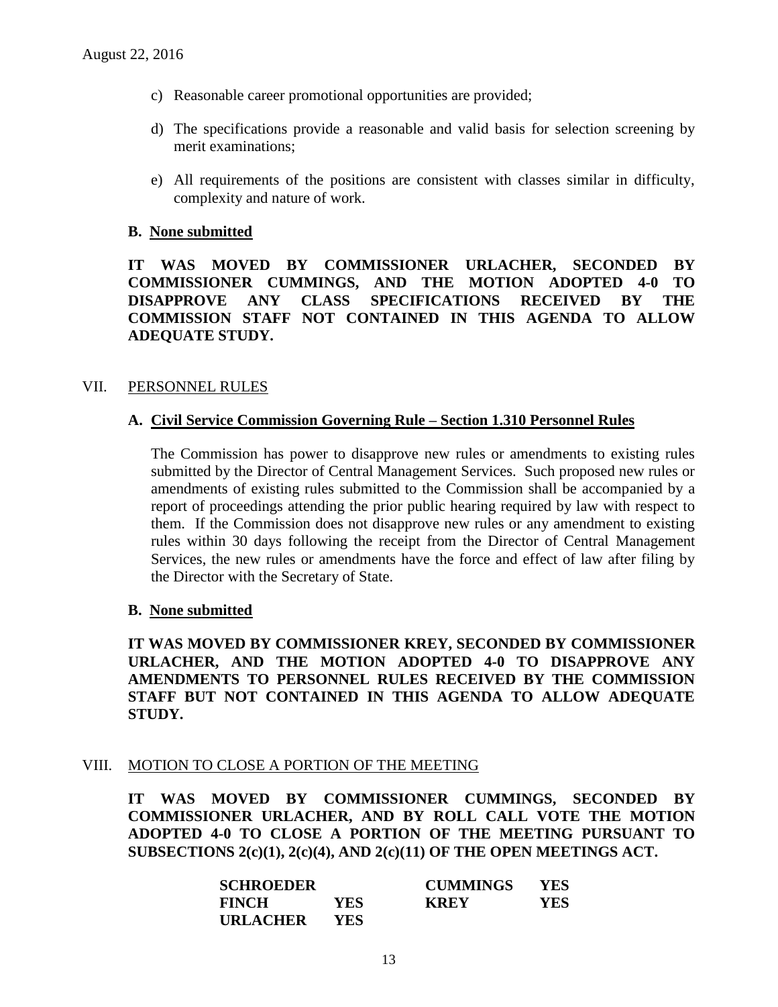- c) Reasonable career promotional opportunities are provided;
- d) The specifications provide a reasonable and valid basis for selection screening by merit examinations;
- e) All requirements of the positions are consistent with classes similar in difficulty, complexity and nature of work.

#### **B. None submitted**

**IT WAS MOVED BY COMMISSIONER URLACHER, SECONDED BY COMMISSIONER CUMMINGS, AND THE MOTION ADOPTED 4-0 TO DISAPPROVE ANY CLASS SPECIFICATIONS RECEIVED BY THE COMMISSION STAFF NOT CONTAINED IN THIS AGENDA TO ALLOW ADEQUATE STUDY.** 

#### VII. PERSONNEL RULES

#### **A. Civil Service Commission Governing Rule – Section 1.310 Personnel Rules**

The Commission has power to disapprove new rules or amendments to existing rules submitted by the Director of Central Management Services. Such proposed new rules or amendments of existing rules submitted to the Commission shall be accompanied by a report of proceedings attending the prior public hearing required by law with respect to them. If the Commission does not disapprove new rules or any amendment to existing rules within 30 days following the receipt from the Director of Central Management Services, the new rules or amendments have the force and effect of law after filing by the Director with the Secretary of State.

#### **B. None submitted**

**IT WAS MOVED BY COMMISSIONER KREY, SECONDED BY COMMISSIONER URLACHER, AND THE MOTION ADOPTED 4-0 TO DISAPPROVE ANY AMENDMENTS TO PERSONNEL RULES RECEIVED BY THE COMMISSION STAFF BUT NOT CONTAINED IN THIS AGENDA TO ALLOW ADEQUATE STUDY.** 

#### VIII. MOTION TO CLOSE A PORTION OF THE MEETING

**IT WAS MOVED BY COMMISSIONER CUMMINGS, SECONDED BY COMMISSIONER URLACHER, AND BY ROLL CALL VOTE THE MOTION ADOPTED 4-0 TO CLOSE A PORTION OF THE MEETING PURSUANT TO SUBSECTIONS 2(c)(1), 2(c)(4), AND 2(c)(11) OF THE OPEN MEETINGS ACT.**

| <b>SCHROEDER</b> |      | <b>CUMMINGS</b> | <b>YES</b> |
|------------------|------|-----------------|------------|
| <b>FINCH</b>     | YES  | KREY            | YES        |
| <b>URLACHER</b>  | YES. |                 |            |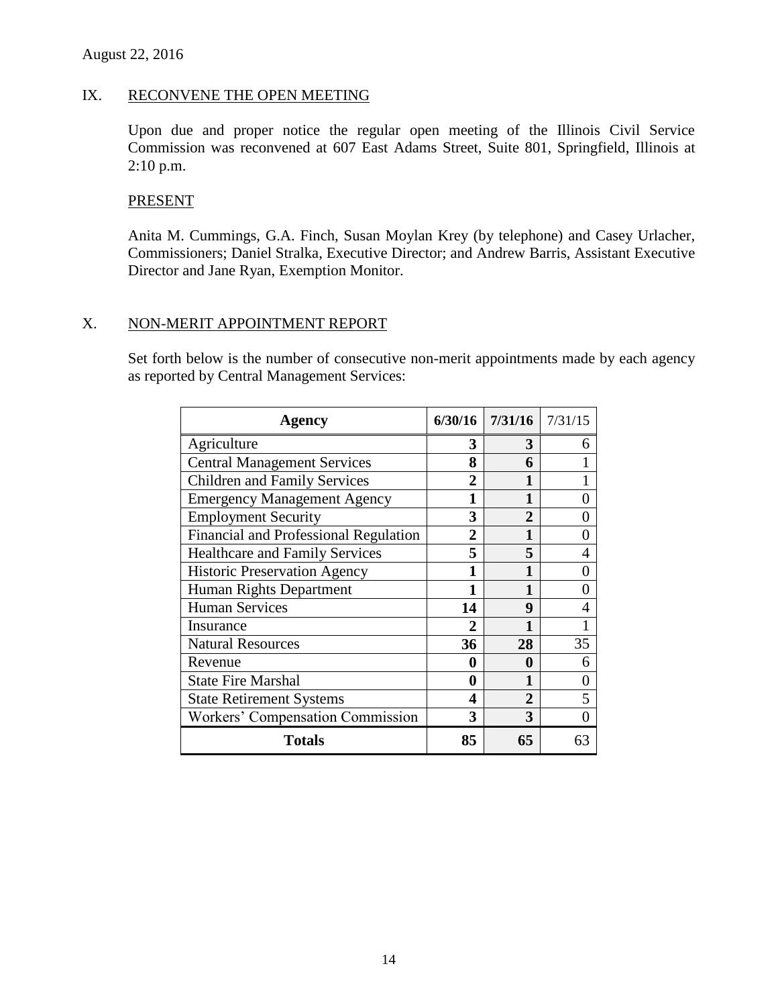### IX. RECONVENE THE OPEN MEETING

Upon due and proper notice the regular open meeting of the Illinois Civil Service Commission was reconvened at 607 East Adams Street, Suite 801, Springfield, Illinois at 2:10 p.m.

#### PRESENT

Anita M. Cummings, G.A. Finch, Susan Moylan Krey (by telephone) and Casey Urlacher, Commissioners; Daniel Stralka, Executive Director; and Andrew Barris, Assistant Executive Director and Jane Ryan, Exemption Monitor.

#### X. NON-MERIT APPOINTMENT REPORT

Set forth below is the number of consecutive non-merit appointments made by each agency as reported by Central Management Services:

| Agency                                  | 6/30/16      | 7/31/16        | 7/31/15           |
|-----------------------------------------|--------------|----------------|-------------------|
| Agriculture                             | 3            | 3              | 6                 |
| <b>Central Management Services</b>      | 8            | 6              |                   |
| <b>Children and Family Services</b>     | 2            |                |                   |
| <b>Emergency Management Agency</b>      | 1            | 1              | 0                 |
| <b>Employment Security</b>              | 3            | $\mathbf{2}$   |                   |
| Financial and Professional Regulation   | 2            | 1              | $\mathbf{0}$      |
| <b>Healthcare and Family Services</b>   | 5            | 5              | 4                 |
| <b>Historic Preservation Agency</b>     | 1            |                | $\mathbf{\Omega}$ |
| Human Rights Department                 | 1            |                | 0                 |
| Human Services                          | 14           | 9              | 4                 |
| Insurance                               | $\mathbf{2}$ |                |                   |
| <b>Natural Resources</b>                | 36           | 28             | 35                |
| Revenue                                 | 0            | 0              | 6                 |
| <b>State Fire Marshal</b>               | 0            |                | $\mathbf{0}$      |
| <b>State Retirement Systems</b>         | 4            | $\overline{2}$ | 5                 |
| <b>Workers' Compensation Commission</b> | 3            | 3              | 0                 |
| <b>Totals</b>                           | 85           | 65             | 63                |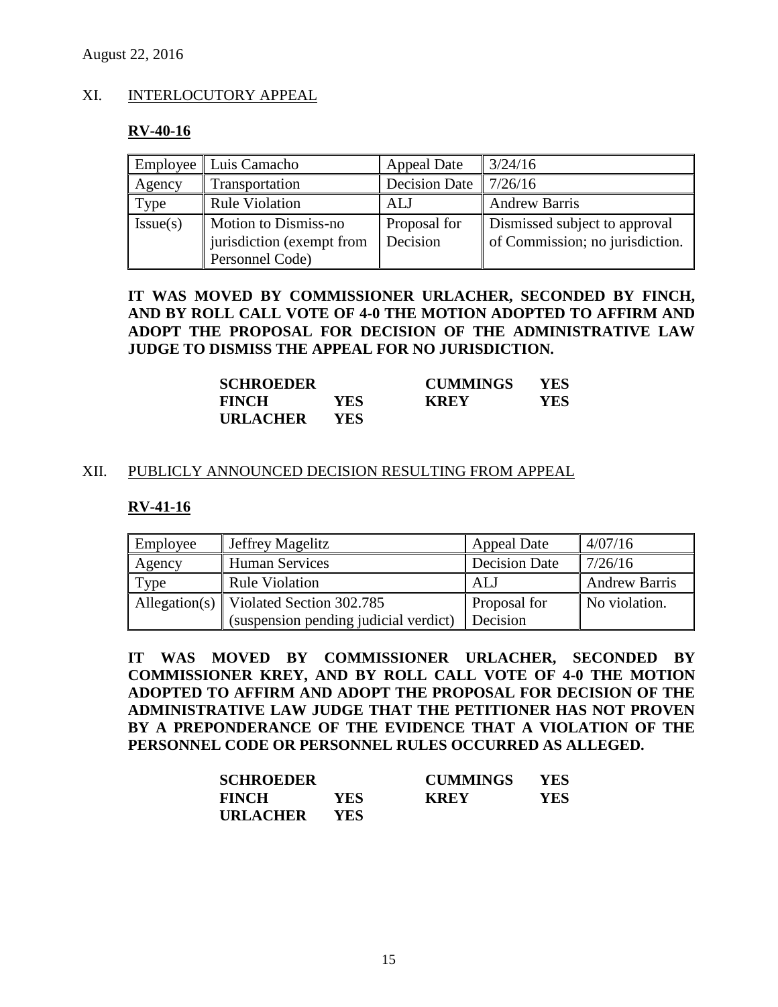# XI. INTERLOCUTORY APPEAL

### **RV-40-16**

|          | Employee   Luis Camacho                           | <b>Appeal Date</b>       | 3/24/16                                                          |
|----------|---------------------------------------------------|--------------------------|------------------------------------------------------------------|
| Agency   | Transportation                                    | <b>Decision Date</b>     | 7/26/16                                                          |
| Type     | <b>Rule Violation</b>                             | ALJ                      | <b>Andrew Barris</b>                                             |
| Issue(s) | Motion to Dismiss-no<br>jurisdiction (exempt from | Proposal for<br>Decision | Dismissed subject to approval<br>of Commission; no jurisdiction. |
|          | Personnel Code)                                   |                          |                                                                  |

# **IT WAS MOVED BY COMMISSIONER URLACHER, SECONDED BY FINCH, AND BY ROLL CALL VOTE OF 4-0 THE MOTION ADOPTED TO AFFIRM AND ADOPT THE PROPOSAL FOR DECISION OF THE ADMINISTRATIVE LAW JUDGE TO DISMISS THE APPEAL FOR NO JURISDICTION.**

| <b>SCHROEDER</b> |      | <b>CUMMINGS</b> | <b>YES</b> |
|------------------|------|-----------------|------------|
| <b>FINCH</b>     | YES. | <b>KREY</b>     | YES        |
| <b>URLACHER</b>  | YES. |                 |            |

### XII. PUBLICLY ANNOUNCED DECISION RESULTING FROM APPEAL

#### **RV-41-16**

| Employee | Jeffrey Magelitz                         | <b>Appeal Date</b>   | 4/07/16              |
|----------|------------------------------------------|----------------------|----------------------|
| Agency   | <b>Human Services</b>                    | <b>Decision Date</b> | 7/26/16              |
| Type     | <b>Rule Violation</b>                    | ALJ                  | <b>Andrew Barris</b> |
|          | Allegation(s)   Violated Section 302.785 | Proposal for         | No violation.        |
|          | (suspension pending judicial verdict)    | Decision             |                      |

**IT WAS MOVED BY COMMISSIONER URLACHER, SECONDED BY COMMISSIONER KREY, AND BY ROLL CALL VOTE OF 4-0 THE MOTION ADOPTED TO AFFIRM AND ADOPT THE PROPOSAL FOR DECISION OF THE ADMINISTRATIVE LAW JUDGE THAT THE PETITIONER HAS NOT PROVEN BY A PREPONDERANCE OF THE EVIDENCE THAT A VIOLATION OF THE PERSONNEL CODE OR PERSONNEL RULES OCCURRED AS ALLEGED.**

| <b>SCHROEDER</b> |      | <b>CUMMINGS</b> | <b>YES</b> |
|------------------|------|-----------------|------------|
| <b>FINCH</b>     | YES. | <b>KREY</b>     | YES        |
| <b>URLACHER</b>  | YES. |                 |            |